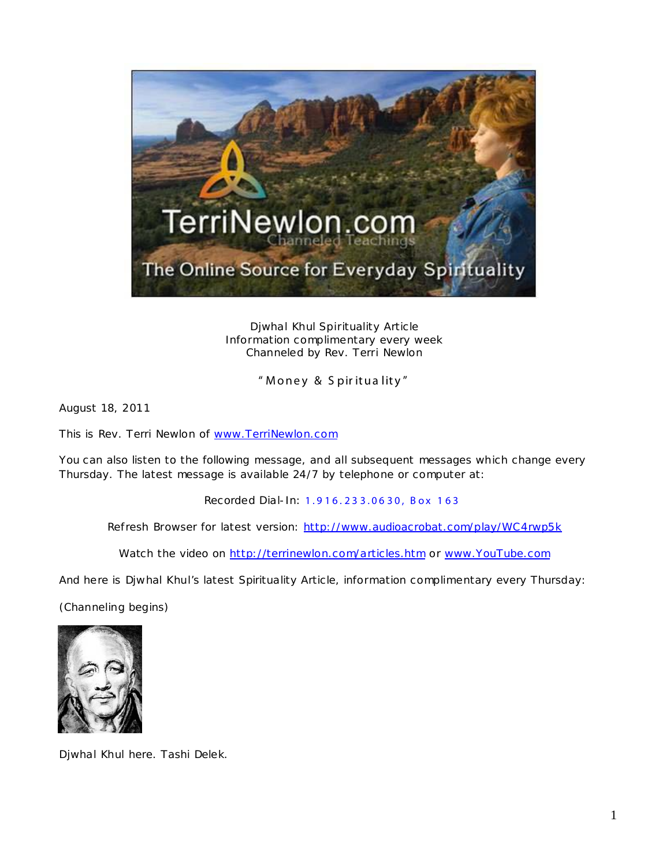

Djwhal Khul Spirituality Article Information complimentary every week Channeled by Rev. Terri Newlon

" Money & Spirituality"

August 18, 2011

This is Rev. Terri Newlon of [www.TerriNewlon.com](http://www.terrinewlon.com/)

You can also listen to the following message, and all subsequent messages which change every Thursday. The latest message is available 24/7 by telephone or computer at:

Recorded Dial-In: 1.9 16. 23 3.06 30, Box 1 63

Refresh Browser for latest version: <http://www.audioacrobat.com/play/WC4rwp5k>

Watch the video on<http://terrinewlon.com/articles.htm> or [www.YouTube.com](http://www.youtube.com/)

And here is Djwhal Khul's latest Spirituality Article, information complimentary every Thursday:

(Channeling begins)



Djwhal Khul here. Tashi Delek.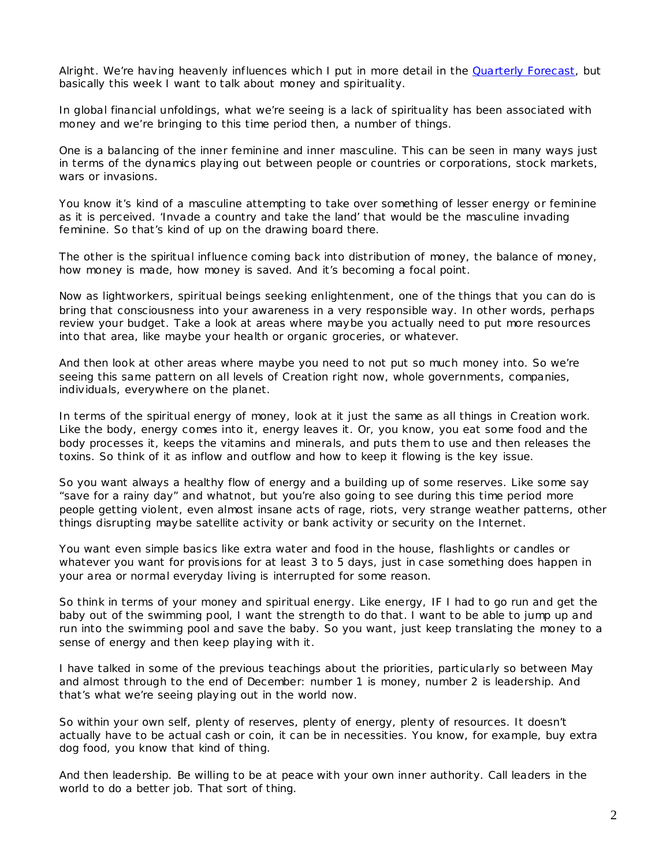Alright. We're having heavenly influences which I put in more detail in the [Quarterly Forecast,](http://www.terrinewlon.com/audio_downloads.htm) but basically this week I want to talk about money and spirituality.

In global financial unfoldings, what we're seeing is a *lack* of spirituality has been associated with money and we're bringing to this time period then, a number of things.

One is a balancing of the inner feminine and inner masculine. This can be seen in many ways just in terms of the dynamics playing out between people or countries or corporations, stock markets, wars or invasions.

You know it's kind of a masculine attempting to take over something of lesser energy or feminine as it is perceived. 'Invade a country and take the land' that would be the masculine invading feminine. So that's kind of up on the drawing board there.

The other is the spiritual influence coming back into distribution of money, the balance of money, how money is made, how money is saved. And it's becoming a focal point.

Now as lightworkers, spiritual beings seeking enlightenment, one of the things that you can do is bring *that* consciousness into your awareness in a very responsible way. In other words, perhaps review your budget. Take a look at areas where maybe you actually need to put more resources into that area, like maybe your health or organic groceries, or whatever.

And then look at other areas where maybe you need to *not* put so much money into. So we're seeing this same pattern on all levels of Creation right now, whole governments, companies, individuals, everywhere on the planet.

In terms of the *spiritual* energy of money, look at it just the same as all things in Creation work. Like the body, energy comes into it, energy leaves it. Or, you know, you eat some food and the body processes it, keeps the vitamins and minerals, and puts them to use and then releases the toxins. So think of it as inflow and outflow and how to keep it flowing is the key issue.

So you want always a healthy flow of energy and a building up of some reserves. Like some say "save for a rainy day" and whatnot, but you're also going to see during this time period more people getting violent, even almost insane acts of rage, riots, very strange weather patterns, other things disrupting maybe satellite activity or bank activity or security on the Internet.

You want even simple basics like extra water and food in the house, flashlights or candles or whatever you want for provisions for at least 3 to 5 days, just in case something does happen in your area or normal everyday living is interrupted for some reason.

So think in terms of your money and spiritual energy. Like energy, IF I had to go run and get the baby out of the swimming pool, I want the strength to do that. I want to be able to jump up and run into the swimming pool and save the baby. So you want, just keep translating the money to a sense of energy and then keep playing with it.

I have talked in some of the previous teachings about the priorities, particularly so between May and almost through to the end of December: number 1 is money, number 2 is leadership. And that's what we're seeing playing out in the world now.

So within your own self, plenty of reserves, plenty of energy, plenty of resources. It doesn't actually have to be actual cash or coin, it can be in necessities. You know, for example, buy extra dog food, you know that kind of thing.

And then leadership. Be willing to be at peace with your own inner authority. Call leaders in the world to do a better job. That sort of thing.